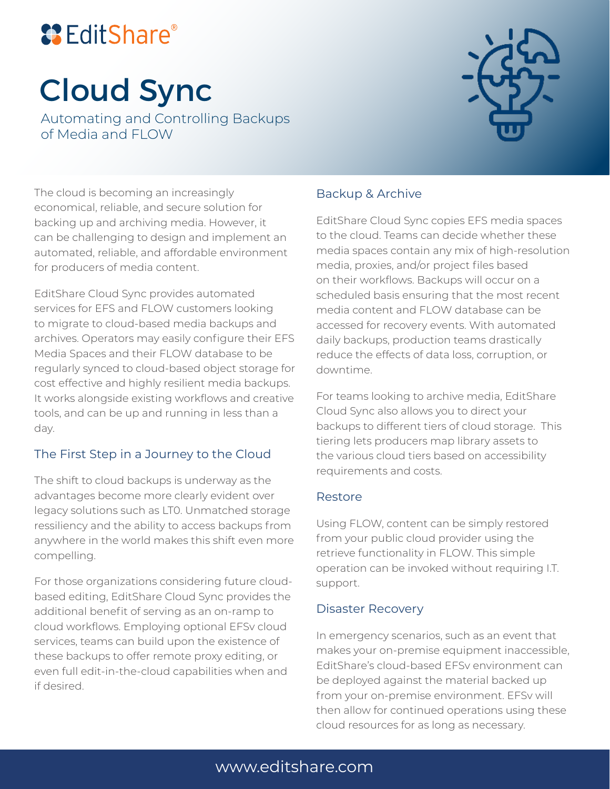## **& EditShare®**

# Cloud Sync

Automating and Controlling Backups of Media and FLOW



The cloud is becoming an increasingly economical, reliable, and secure solution for backing up and archiving media. However, it can be challenging to design and implement an automated, reliable, and affordable environment for producers of media content.

EditShare Cloud Sync provides automated services for EFS and FLOW customers looking to migrate to cloud-based media backups and archives. Operators may easily configure their EFS Media Spaces and their FLOW database to be regularly synced to cloud-based object storage for cost effective and highly resilient media backups. It works alongside existing workflows and creative tools, and can be up and running in less than a day.

#### The First Step in a Journey to the Cloud

The shift to cloud backups is underway as the advantages become more clearly evident over legacy solutions such as LT0. Unmatched storage ressiliency and the ability to access backups from anywhere in the world makes this shift even more compelling.

For those organizations considering future cloudbased editing, EditShare Cloud Sync provides the additional benefit of serving as an on-ramp to cloud workflows. Employing optional EFSv cloud services, teams can build upon the existence of these backups to offer remote proxy editing, or even full edit-in-the-cloud capabilities when and if desired.

#### Backup & Archive

EditShare Cloud Sync copies EFS media spaces to the cloud. Teams can decide whether these media spaces contain any mix of high-resolution media, proxies, and/or project files based on their workflows. Backups will occur on a scheduled basis ensuring that the most recent media content and FLOW database can be accessed for recovery events. With automated daily backups, production teams drastically reduce the effects of data loss, corruption, or downtime.

For teams looking to archive media, EditShare Cloud Sync also allows you to direct your backups to different tiers of cloud storage. This tiering lets producers map library assets to the various cloud tiers based on accessibility requirements and costs.

#### Restore

Using FLOW, content can be simply restored from your public cloud provider using the retrieve functionality in FLOW. This simple operation can be invoked without requiring I.T. support.

#### Disaster Recovery

In emergency scenarios, such as an event that makes your on-premise equipment inaccessible, EditShare's cloud-based EFSv environment can be deployed against the material backed up from your on-premise environment. EFSv will then allow for continued operations using these cloud resources for as long as necessary.